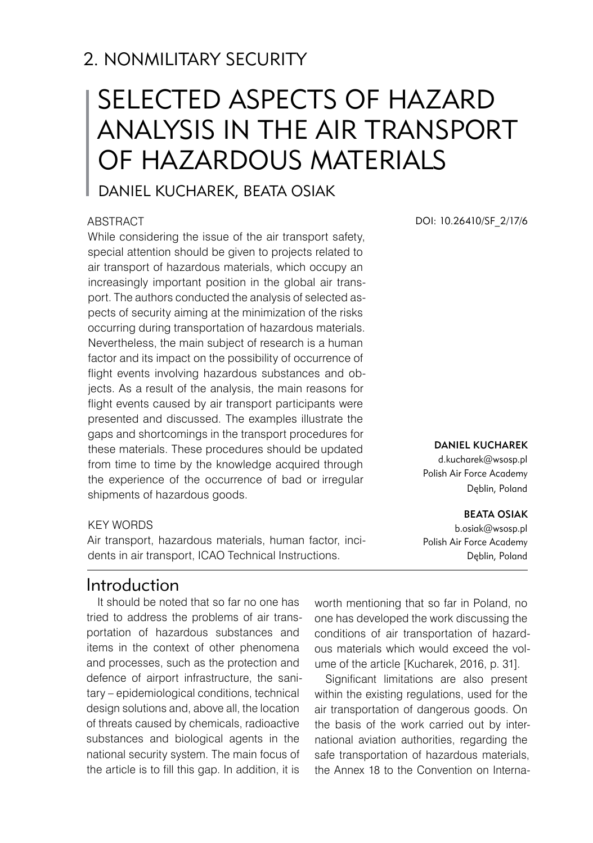# 2. NONMILITARY SECURITY

# Selected aspects of hazard analysis in the air transport of hazardous materials

# Daniel KUCHAREK, Beata OSIAK

#### **ABSTRACT**

While considering the issue of the air transport safety, special attention should be given to projects related to air transport of hazardous materials, which occupy an increasingly important position in the global air transport. The authors conducted the analysis of selected aspects of security aiming at the minimization of the risks occurring during transportation of hazardous materials. Nevertheless, the main subject of research is a human factor and its impact on the possibility of occurrence of flight events involving hazardous substances and objects. As a result of the analysis, the main reasons for flight events caused by air transport participants were presented and discussed. The examples illustrate the gaps and shortcomings in the transport procedures for these materials. These procedures should be updated from time to time by the knowledge acquired through the experience of the occurrence of bad or irregular shipments of hazardous goods.

#### KEY WORDS

Air transport, hazardous materials, human factor, incidents in air transport, ICAO Technical Instructions.

### Introduction

It should be noted that so far no one has tried to address the problems of air transportation of hazardous substances and items in the context of other phenomena and processes, such as the protection and defence of airport infrastructure, the sanitary – epidemiological conditions, technical design solutions and, above all, the location of threats caused by chemicals, radioactive substances and biological agents in the national security system. The main focus of the article is to fill this gap. In addition, it is

DOI: 10.26410/SF\_2/17/6

#### DANIEL KUCHAREK

d.kucharek@wsosp.pl Polish Air Force Academy Dęblin, Poland

#### BEATA OSIAK

b.osiak@wsosp.pl Polish Air Force Academy Dęblin, Poland

worth mentioning that so far in Poland, no one has developed the work discussing the conditions of air transportation of hazardous materials which would exceed the volume of the article [Kucharek, 2016, p. 31].

Significant limitations are also present within the existing regulations, used for the air transportation of dangerous goods. On the basis of the work carried out by international aviation authorities, regarding the safe transportation of hazardous materials, the Annex 18 to the Convention on Interna-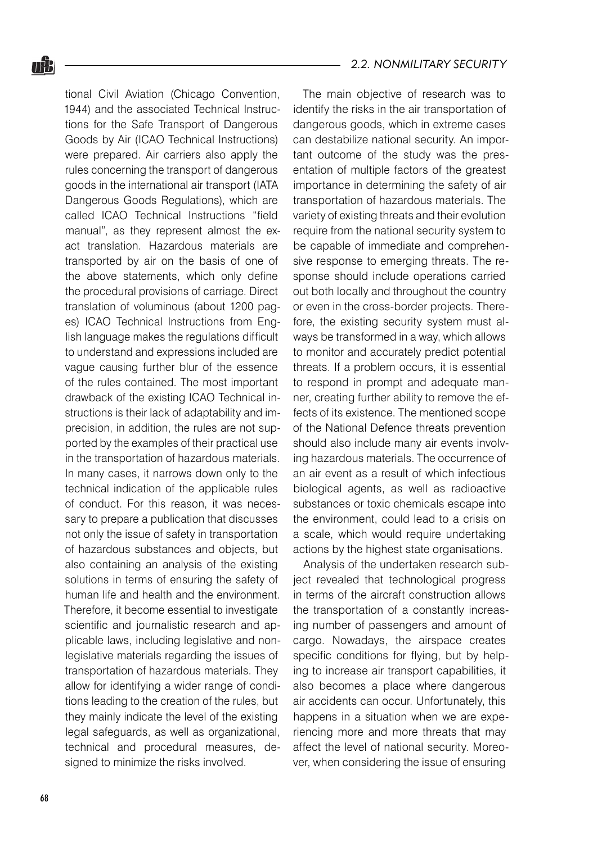tional Civil Aviation (Chicago Convention, 1944) and the associated Technical Instructions for the Safe Transport of Dangerous Goods by Air (ICAO Technical Instructions) were prepared. Air carriers also apply the rules concerning the transport of dangerous goods in the international air transport (IATA Dangerous Goods Regulations), which are called ICAO Technical Instructions "field manual", as they represent almost the exact translation. Hazardous materials are transported by air on the basis of one of the above statements, which only define the procedural provisions of carriage. Direct translation of voluminous (about 1200 pages) ICAO Technical Instructions from English language makes the regulations difficult to understand and expressions included are vague causing further blur of the essence of the rules contained. The most important drawback of the existing ICAO Technical instructions is their lack of adaptability and imprecision, in addition, the rules are not supported by the examples of their practical use in the transportation of hazardous materials. In many cases, it narrows down only to the technical indication of the applicable rules of conduct. For this reason, it was necessary to prepare a publication that discusses not only the issue of safety in transportation of hazardous substances and objects, but also containing an analysis of the existing solutions in terms of ensuring the safety of human life and health and the environment. Therefore, it become essential to investigate scientific and journalistic research and applicable laws, including legislative and nonlegislative materials regarding the issues of transportation of hazardous materials. They allow for identifying a wider range of conditions leading to the creation of the rules, but they mainly indicate the level of the existing legal safeguards, as well as organizational, technical and procedural measures, designed to minimize the risks involved.

The main objective of research was to identify the risks in the air transportation of dangerous goods, which in extreme cases can destabilize national security. An important outcome of the study was the presentation of multiple factors of the greatest importance in determining the safety of air transportation of hazardous materials. The variety of existing threats and their evolution require from the national security system to be capable of immediate and comprehensive response to emerging threats. The response should include operations carried out both locally and throughout the country or even in the cross-border projects. Therefore, the existing security system must always be transformed in a way, which allows to monitor and accurately predict potential threats. If a problem occurs, it is essential to respond in prompt and adequate manner, creating further ability to remove the effects of its existence. The mentioned scope of the National Defence threats prevention should also include many air events involving hazardous materials. The occurrence of an air event as a result of which infectious biological agents, as well as radioactive substances or toxic chemicals escape into the environment, could lead to a crisis on a scale, which would require undertaking actions by the highest state organisations.

Analysis of the undertaken research subject revealed that technological progress in terms of the aircraft construction allows the transportation of a constantly increasing number of passengers and amount of cargo. Nowadays, the airspace creates specific conditions for flying, but by helping to increase air transport capabilities, it also becomes a place where dangerous air accidents can occur. Unfortunately, this happens in a situation when we are experiencing more and more threats that may affect the level of national security. Moreover, when considering the issue of ensuring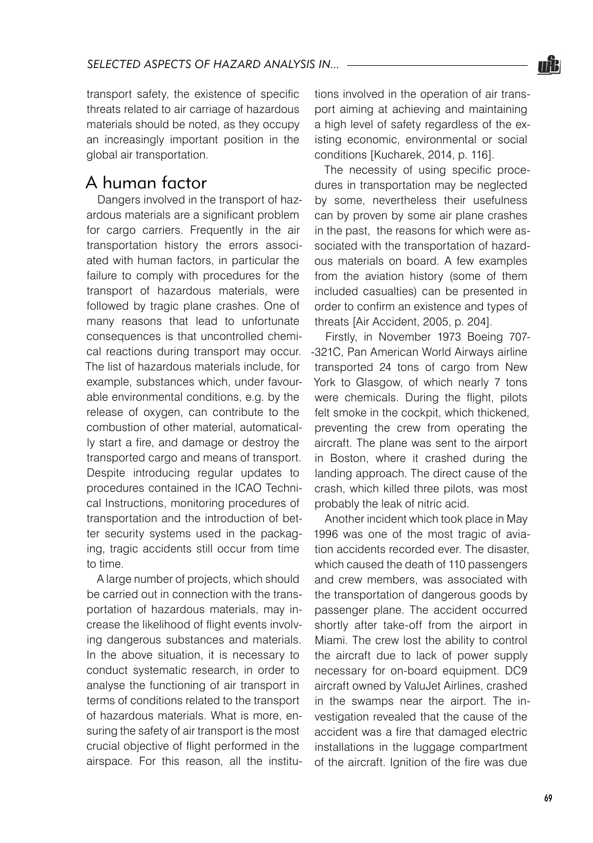

transport safety, the existence of specific threats related to air carriage of hazardous materials should be noted, as they occupy an increasingly important position in the global air transportation.

## A human factor

Dangers involved in the transport of hazardous materials are a significant problem for cargo carriers. Frequently in the air transportation history the errors associated with human factors, in particular the failure to comply with procedures for the transport of hazardous materials, were followed by tragic plane crashes. One of many reasons that lead to unfortunate consequences is that uncontrolled chemical reactions during transport may occur. The list of hazardous materials include, for example, substances which, under favourable environmental conditions, e.g. by the release of oxygen, can contribute to the combustion of other material, automatically start a fire, and damage or destroy the transported cargo and means of transport. Despite introducing regular updates to procedures contained in the ICAO Technical Instructions, monitoring procedures of transportation and the introduction of better security systems used in the packaging, tragic accidents still occur from time to time.

A large number of projects, which should be carried out in connection with the transportation of hazardous materials, may increase the likelihood of flight events involving dangerous substances and materials. In the above situation, it is necessary to conduct systematic research, in order to analyse the functioning of air transport in terms of conditions related to the transport of hazardous materials. What is more, ensuring the safety of air transport is the most crucial objective of flight performed in the airspace. For this reason, all the institutions involved in the operation of air transport aiming at achieving and maintaining a high level of safety regardless of the existing economic, environmental or social conditions [Kucharek, 2014, p. 116].

The necessity of using specific procedures in transportation may be neglected by some, nevertheless their usefulness can by proven by some air plane crashes in the past, the reasons for which were associated with the transportation of hazardous materials on board. A few examples from the aviation history (some of them included casualties) can be presented in order to confirm an existence and types of threats [Air Accident, 2005, p. 204].

Firstly, in November 1973 Boeing 707- -321C, Pan American World Airways airline transported 24 tons of cargo from New York to Glasgow, of which nearly 7 tons were chemicals. During the flight, pilots felt smoke in the cockpit, which thickened, preventing the crew from operating the aircraft. The plane was sent to the airport in Boston, where it crashed during the landing approach. The direct cause of the crash, which killed three pilots, was most probably the leak of nitric acid.

Another incident which took place in May 1996 was one of the most tragic of aviation accidents recorded ever. The disaster, which caused the death of 110 passengers and crew members, was associated with the transportation of dangerous goods by passenger plane. The accident occurred shortly after take-off from the airport in Miami. The crew lost the ability to control the aircraft due to lack of power supply necessary for on-board equipment. DC9 aircraft owned by ValuJet Airlines, crashed in the swamps near the airport. The investigation revealed that the cause of the accident was a fire that damaged electric installations in the luggage compartment of the aircraft. Ignition of the fire was due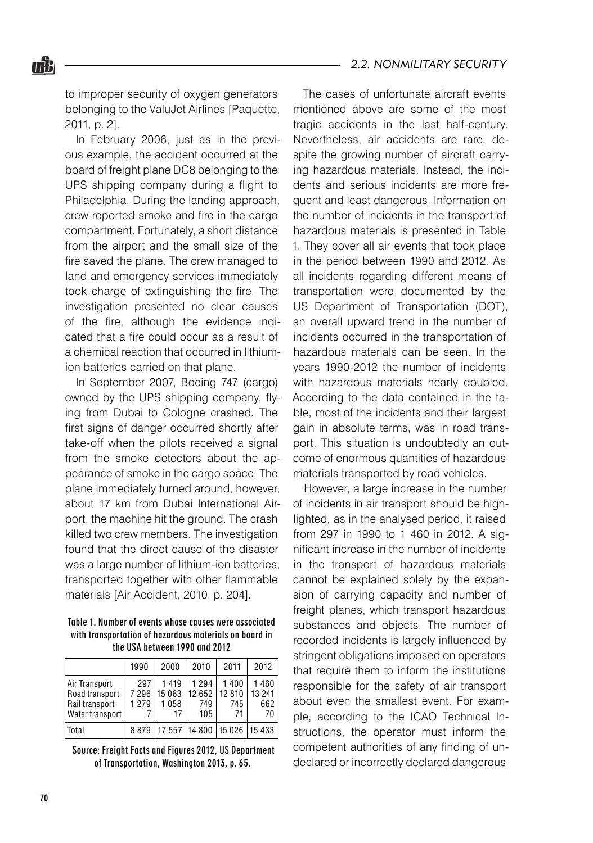to improper security of oxygen generators belonging to the ValuJet Airlines [Paquette, 2011, p. 2].

nŸ.

In February 2006, just as in the previous example, the accident occurred at the board of freight plane DC8 belonging to the UPS shipping company during a flight to Philadelphia. During the landing approach, crew reported smoke and fire in the cargo compartment. Fortunately, a short distance from the airport and the small size of the fire saved the plane. The crew managed to land and emergency services immediately took charge of extinguishing the fire. The investigation presented no clear causes of the fire, although the evidence indicated that a fire could occur as a result of a chemical reaction that occurred in lithiumion batteries carried on that plane.

In September 2007, Boeing 747 (cargo) owned by the UPS shipping company, flying from Dubai to Cologne crashed. The first signs of danger occurred shortly after take-off when the pilots received a signal from the smoke detectors about the appearance of smoke in the cargo space. The plane immediately turned around, however, about 17 km from Dubai International Airport, the machine hit the ground. The crash killed two crew members. The investigation found that the direct cause of the disaster was a large number of lithium-ion batteries. transported together with other flammable materials [Air Accident, 2010, p. 204].

#### Table 1. Number of events whose causes were associated with transportation of hazardous materials on board in the USA between 1990 and 2012

|                                                                        | 1990                      | 2000                         | 2010                                       | 2011              | 2012                        |
|------------------------------------------------------------------------|---------------------------|------------------------------|--------------------------------------------|-------------------|-----------------------------|
| Air Transport<br>Road transport<br>Rail transport<br>  Water transport | 297<br>7 2 9 6<br>1 2 7 9 | 1419<br>15 063<br>1058<br>17 | 1 2 9 4<br>  12 652   12 810<br>749<br>105 | 1400<br>745<br>71 | 1460<br>13 241<br>662<br>70 |
| <b>Total</b>                                                           |                           |                              | 8 879 17 557 14 800 15 026 15 433          |                   |                             |

 Source: Freight Facts and Figures 2012, US Department of Transportation, Washington 2013, p. 65.

The cases of unfortunate aircraft events mentioned above are some of the most tragic accidents in the last half-century. Nevertheless, air accidents are rare, despite the growing number of aircraft carrying hazardous materials. Instead, the incidents and serious incidents are more frequent and least dangerous. Information on the number of incidents in the transport of hazardous materials is presented in Table 1. They cover all air events that took place in the period between 1990 and 2012. As all incidents regarding different means of transportation were documented by the US Department of Transportation (DOT), an overall upward trend in the number of incidents occurred in the transportation of hazardous materials can be seen. In the years 1990-2012 the number of incidents with hazardous materials nearly doubled. According to the data contained in the table, most of the incidents and their largest gain in absolute terms, was in road transport. This situation is undoubtedly an outcome of enormous quantities of hazardous materials transported by road vehicles.

However, a large increase in the number of incidents in air transport should be highlighted, as in the analysed period, it raised from 297 in 1990 to 1 460 in 2012. A significant increase in the number of incidents in the transport of hazardous materials cannot be explained solely by the expansion of carrying capacity and number of freight planes, which transport hazardous substances and objects. The number of recorded incidents is largely influenced by stringent obligations imposed on operators that require them to inform the institutions responsible for the safety of air transport about even the smallest event. For example, according to the ICAO Technical Instructions, the operator must inform the competent authorities of any finding of undeclared or incorrectly declared dangerous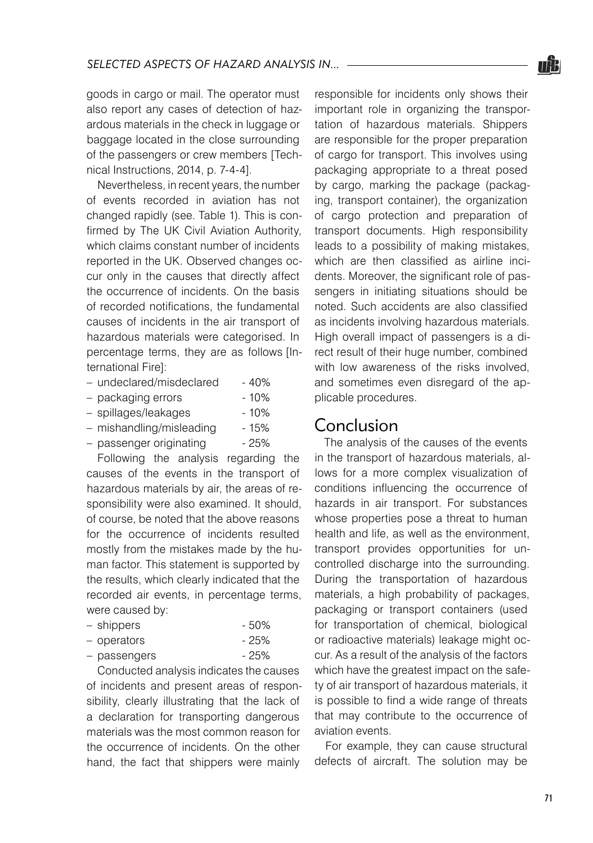goods in cargo or mail. The operator must also report any cases of detection of hazardous materials in the check in luggage or baggage located in the close surrounding of the passengers or crew members [Technical Instructions, 2014, p. 7-4-4].

Nevertheless, in recent years, the number of events recorded in aviation has not changed rapidly (see. Table 1). This is confirmed by The UK Civil Aviation Authority, which claims constant number of incidents reported in the UK. Observed changes occur only in the causes that directly affect the occurrence of incidents. On the basis of recorded notifications, the fundamental causes of incidents in the air transport of hazardous materials were categorised. In percentage terms, they are as follows [International Fire]:

| - undeclared/misdeclared | $-40%$ |
|--------------------------|--------|
| - packaging errors       | $-10%$ |
| - spillages/leakages     | $-10%$ |
| - mishandling/misleading | - 15%  |
| - passenger originating  | $-25%$ |

Following the analysis regarding the causes of the events in the transport of hazardous materials by air, the areas of responsibility were also examined. It should, of course, be noted that the above reasons for the occurrence of incidents resulted mostly from the mistakes made by the human factor. This statement is supported by the results, which clearly indicated that the recorded air events, in percentage terms, were caused by:

| - shippers | - 50% |
|------------|-------|
|            |       |

| - operators  | - 25% |
|--------------|-------|
| - passengers | - 25% |

Conducted analysis indicates the causes of incidents and present areas of responsibility, clearly illustrating that the lack of a declaration for transporting dangerous materials was the most common reason for the occurrence of incidents. On the other hand, the fact that shippers were mainly responsible for incidents only shows their important role in organizing the transportation of hazardous materials. Shippers are responsible for the proper preparation of cargo for transport. This involves using packaging appropriate to a threat posed by cargo, marking the package (packaging, transport container), the organization of cargo protection and preparation of transport documents. High responsibility leads to a possibility of making mistakes, which are then classified as airline incidents. Moreover, the significant role of passengers in initiating situations should be noted. Such accidents are also classified as incidents involving hazardous materials. High overall impact of passengers is a direct result of their huge number, combined with low awareness of the risks involved. and sometimes even disregard of the applicable procedures.

### Conclusion

The analysis of the causes of the events in the transport of hazardous materials, allows for a more complex visualization of conditions influencing the occurrence of hazards in air transport. For substances whose properties pose a threat to human health and life, as well as the environment, transport provides opportunities for uncontrolled discharge into the surrounding. During the transportation of hazardous materials, a high probability of packages, packaging or transport containers (used for transportation of chemical, biological or radioactive materials) leakage might occur. As a result of the analysis of the factors which have the greatest impact on the safety of air transport of hazardous materials, it is possible to find a wide range of threats that may contribute to the occurrence of aviation events.

For example, they can cause structural defects of aircraft. The solution may be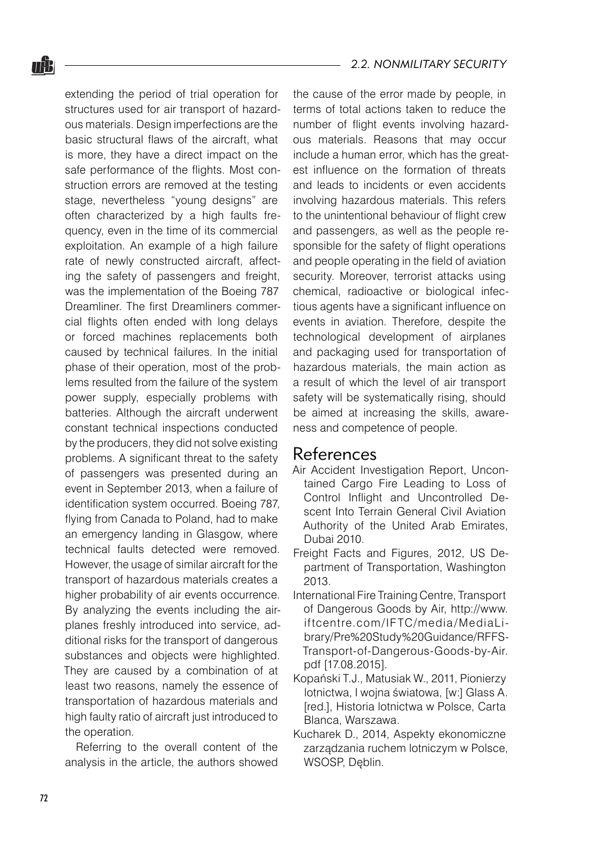extending the period of trial operation for structures used for air transport of hazardous materials. Design imperfections are the basic structural flaws of the aircraft, what is more, they have a direct impact on the safe performance of the flights. Most construction errors are removed at the testing stage, nevertheless "young designs" are often characterized by a high faults frequency, even in the time of its commercial exploitation. An example of a high failure rate of newly constructed aircraft, affecting the safety of passengers and freight, was the implementation of the Boeing 787 Dreamliner. The first Dreamliners commercial flights often ended with long delays or forced machines replacements both caused by technical failures. In the initial phase of their operation, most of the problems resulted from the failure of the system power supply, especially problems with batteries. Although the aircraft underwent constant technical inspections conducted by the producers, they did not solve existing problems. A significant threat to the safety of passengers was presented during an event in September 2013, when a failure of identification system occurred. Boeing 787, flying from Canada to Poland, had to make an emergency landing in Glasgow, where technical faults detected were removed. However, the usage of similar aircraft for the transport of hazardous materials creates a higher probability of air events occurrence. By analyzing the events including the airplanes freshly introduced into service, additional risks for the transport of dangerous substances and objects were highlighted. They are caused by a combination of at

least two reasons, namely the essence of transportation of hazardous materials and high faulty ratio of aircraft just introduced to the operation.

Referring to the overall content of the analysis in the article, the authors showed the cause of the error made by people, in terms of total actions taken to reduce the number of flight events involving hazardous materials. Reasons that may occur include a human error, which has the greatest influence on the formation of threats and leads to incidents or even accidents involving hazardous materials. This refers to the unintentional behaviour of flight crew and passengers, as well as the people responsible for the safety of flight operations and people operating in the field of aviation security. Moreover, terrorist attacks using chemical, radioactive or biological infectious agents have a significant influence on events in aviation. Therefore, despite the technological development of airplanes and packaging used for transportation of hazardous materials, the main action as a result of which the level of air transport safety will be systematically rising, should be aimed at increasing the skills, awareness and competence of people.

### References

- Air Accident Investigation Report, Uncontained Cargo Fire Leading to Loss of Control Inflight and Uncontrolled Descent Into Terrain General Civil Aviation Authority of the United Arab Emirates, Dubai 2010.
- Freight Facts and Figures, 2012, US Department of Transportation, Washington 2013.
- International Fire Training Centre, Transport of Dangerous Goods by Air, http://www. iftcentre.com/IFTC/media /MediaLibrary/Pre%20Study%20Guidance/RFFS-Transport-of-Dangerous-Goods-by-Air. pdf [17.08.2015].
- Kopański T.J., Matusiak W., 2011, Pionierzy lotnictwa, I wojna światowa, [w:] Glass A. [red.], Historia lotnictwa w Polsce, Carta Blanca, Warszawa.
- Kucharek D., 2014, Aspekty ekonomiczne zarządzania ruchem lotniczym w Polsce, WSOSP, Dęblin.